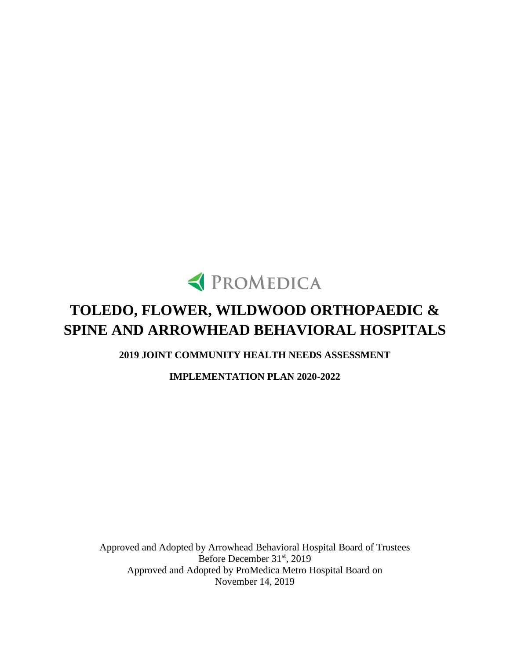

# **TOLEDO, FLOWER, WILDWOOD ORTHOPAEDIC & SPINE AND ARROWHEAD BEHAVIORAL HOSPITALS**

**2019 JOINT COMMUNITY HEALTH NEEDS ASSESSMENT** 

**IMPLEMENTATION PLAN 2020-2022**

Approved and Adopted by Arrowhead Behavioral Hospital Board of Trustees Before December 31<sup>st</sup>, 2019 Approved and Adopted by ProMedica Metro Hospital Board on November 14, 2019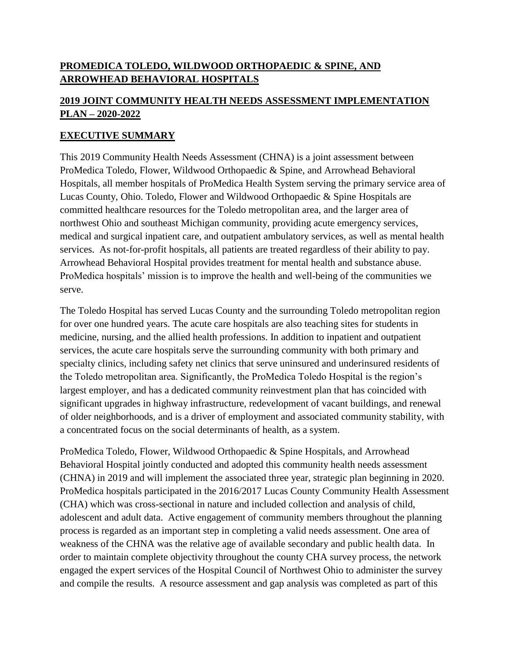# **PROMEDICA TOLEDO, WILDWOOD ORTHOPAEDIC & SPINE, AND ARROWHEAD BEHAVIORAL HOSPITALS**

# **2019 JOINT COMMUNITY HEALTH NEEDS ASSESSMENT IMPLEMENTATION PLAN – 2020-2022**

## **EXECUTIVE SUMMARY**

This 2019 Community Health Needs Assessment (CHNA) is a joint assessment between ProMedica Toledo, Flower, Wildwood Orthopaedic & Spine, and Arrowhead Behavioral Hospitals, all member hospitals of ProMedica Health System serving the primary service area of Lucas County, Ohio. Toledo, Flower and Wildwood Orthopaedic & Spine Hospitals are committed healthcare resources for the Toledo metropolitan area, and the larger area of northwest Ohio and southeast Michigan community, providing acute emergency services, medical and surgical inpatient care, and outpatient ambulatory services, as well as mental health services. As not-for-profit hospitals, all patients are treated regardless of their ability to pay. Arrowhead Behavioral Hospital provides treatment for mental health and substance abuse. ProMedica hospitals' mission is to improve the health and well-being of the communities we serve.

The Toledo Hospital has served Lucas County and the surrounding Toledo metropolitan region for over one hundred years. The acute care hospitals are also teaching sites for students in medicine, nursing, and the allied health professions. In addition to inpatient and outpatient services, the acute care hospitals serve the surrounding community with both primary and specialty clinics, including safety net clinics that serve uninsured and underinsured residents of the Toledo metropolitan area. Significantly, the ProMedica Toledo Hospital is the region's largest employer, and has a dedicated community reinvestment plan that has coincided with significant upgrades in highway infrastructure, redevelopment of vacant buildings, and renewal of older neighborhoods, and is a driver of employment and associated community stability, with a concentrated focus on the social determinants of health, as a system.

ProMedica Toledo, Flower, Wildwood Orthopaedic & Spine Hospitals, and Arrowhead Behavioral Hospital jointly conducted and adopted this community health needs assessment (CHNA) in 2019 and will implement the associated three year, strategic plan beginning in 2020. ProMedica hospitals participated in the 2016/2017 Lucas County Community Health Assessment (CHA) which was cross-sectional in nature and included collection and analysis of child, adolescent and adult data. Active engagement of community members throughout the planning process is regarded as an important step in completing a valid needs assessment. One area of weakness of the CHNA was the relative age of available secondary and public health data. In order to maintain complete objectivity throughout the county CHA survey process, the network engaged the expert services of the Hospital Council of Northwest Ohio to administer the survey and compile the results. A resource assessment and gap analysis was completed as part of this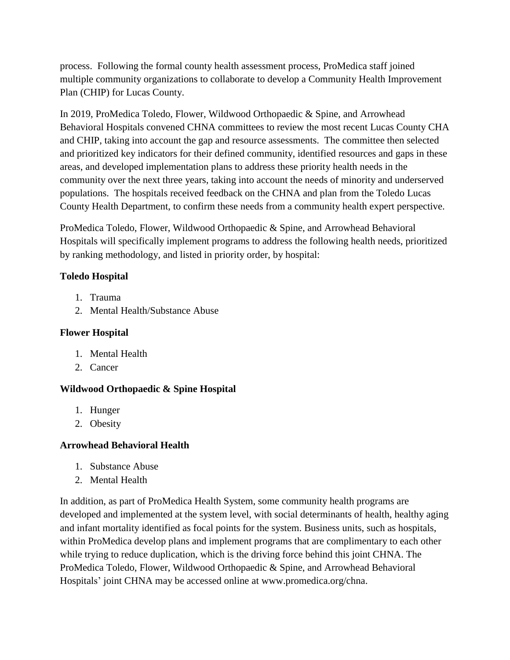process. Following the formal county health assessment process, ProMedica staff joined multiple community organizations to collaborate to develop a Community Health Improvement Plan (CHIP) for Lucas County.

In 2019, ProMedica Toledo, Flower, Wildwood Orthopaedic & Spine, and Arrowhead Behavioral Hospitals convened CHNA committees to review the most recent Lucas County CHA and CHIP, taking into account the gap and resource assessments. The committee then selected and prioritized key indicators for their defined community, identified resources and gaps in these areas, and developed implementation plans to address these priority health needs in the community over the next three years, taking into account the needs of minority and underserved populations. The hospitals received feedback on the CHNA and plan from the Toledo Lucas County Health Department, to confirm these needs from a community health expert perspective.

ProMedica Toledo, Flower, Wildwood Orthopaedic & Spine, and Arrowhead Behavioral Hospitals will specifically implement programs to address the following health needs, prioritized by ranking methodology, and listed in priority order, by hospital:

## **Toledo Hospital**

- 1. Trauma
- 2. Mental Health/Substance Abuse

## **Flower Hospital**

- 1. Mental Health
- 2. Cancer

# **Wildwood Orthopaedic & Spine Hospital**

- 1. Hunger
- 2. Obesity

#### **Arrowhead Behavioral Health**

- 1. Substance Abuse
- 2. Mental Health

In addition, as part of ProMedica Health System, some community health programs are developed and implemented at the system level, with social determinants of health, healthy aging and infant mortality identified as focal points for the system. Business units, such as hospitals, within ProMedica develop plans and implement programs that are complimentary to each other while trying to reduce duplication, which is the driving force behind this joint CHNA. The ProMedica Toledo, Flower, Wildwood Orthopaedic & Spine, and Arrowhead Behavioral Hospitals' joint CHNA may be accessed online at [www.promedica.org/chna.](http://www.promedica.org/chna)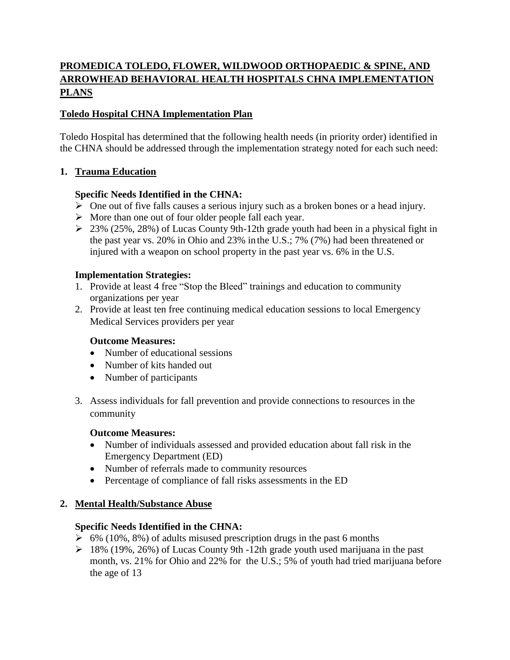# **PROMEDICA TOLEDO, FLOWER, WILDWOOD ORTHOPAEDIC & SPINE, AND ARROWHEAD BEHAVIORAL HEALTH HOSPITALS CHNA IMPLEMENTATION PLANS**

## **Toledo Hospital CHNA Implementation Plan**

Toledo Hospital has determined that the following health needs (in priority order) identified in the CHNA should be addressed through the implementation strategy noted for each such need:

#### **1. Trauma Education**

#### **Specific Needs Identified in the CHNA:**

- $\triangleright$  One out of five falls causes a serious injury such as a broken bones or a head injury.
- $\triangleright$  More than one out of four older people fall each year.
- $\geq$  23% (25%, 28%) of Lucas County 9th-12th grade youth had been in a physical fight in the past year vs. 20% in Ohio and 23% in the U.S.; 7% (7%) had been threatened or injured with a weapon on school property in the past year vs. 6% in the U.S.

#### **Implementation Strategies:**

- 1. Provide at least 4 free "Stop the Bleed" trainings and education to community organizations per year
- 2. Provide at least ten free continuing medical education sessions to local Emergency Medical Services providers per year

#### **Outcome Measures:**

- Number of educational sessions
- Number of kits handed out
- Number of participants
- 3. Assess individuals for fall prevention and provide connections to resources in the community

#### **Outcome Measures:**

- Number of individuals assessed and provided education about fall risk in the Emergency Department (ED)
- Number of referrals made to community resources
- Percentage of compliance of fall risks assessments in the ED

#### **2. Mental Health/Substance Abuse**

#### **Specific Needs Identified in the CHNA:**

- $\geq 6\%$  (10%, 8%) of adults misused prescription drugs in the past 6 months
- $\geq 18\%$  (19%, 26%) of Lucas County 9th -12th grade youth used marijuana in the past month, vs. 21% for Ohio and 22% for the U.S.; 5% of youth had tried marijuana before the age of 13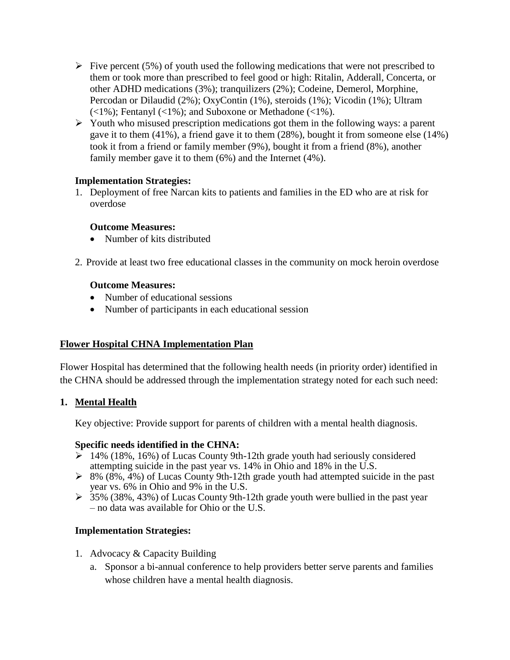- Five percent (5%) of youth used the following medications that were not prescribed to them or took more than prescribed to feel good or high: Ritalin, Adderall, Concerta, or other ADHD medications (3%); tranquilizers (2%); Codeine, Demerol, Morphine, Percodan or Dilaudid (2%); OxyContin (1%), steroids (1%); Vicodin (1%); Ultram  $(\langle 1\% \rangle;$  Fentanyl  $(\langle 1\% \rangle;$  and Suboxone or Methadone  $(\langle 1\% \rangle;$
- $\triangleright$  Youth who misused prescription medications got them in the following ways: a parent gave it to them (41%), a friend gave it to them (28%), bought it from someone else (14%) took it from a friend or family member (9%), bought it from a friend (8%), another family member gave it to them (6%) and the Internet (4%).

#### **Implementation Strategies:**

1. Deployment of free Narcan kits to patients and families in the ED who are at risk for overdose

#### **Outcome Measures:**

- Number of kits distributed
- 2. Provide at least two free educational classes in the community on mock heroin overdose

#### **Outcome Measures:**

- Number of educational sessions
- Number of participants in each educational session

#### **Flower Hospital CHNA Implementation Plan**

Flower Hospital has determined that the following health needs (in priority order) identified in the CHNA should be addressed through the implementation strategy noted for each such need:

#### **1. Mental Health**

Key objective: Provide support for parents of children with a mental health diagnosis.

#### **Specific needs identified in the CHNA:**

- $\sum 14\%$  (18%, 16%) of Lucas County 9th-12th grade youth had seriously considered attempting suicide in the past year vs. 14% in Ohio and 18% in the U.S.
- $\triangleright$  8% (8%, 4%) of Lucas County 9th-12th grade youth had attempted suicide in the past year vs. 6% in Ohio and 9% in the U.S.
- $\geq 35\%$  (38%, 43%) of Lucas County 9th-12th grade youth were bullied in the past year – no data was available for Ohio or the U.S.

#### **Implementation Strategies:**

- 1. Advocacy & Capacity Building
	- a. Sponsor a bi-annual conference to help providers better serve parents and families whose children have a mental health diagnosis.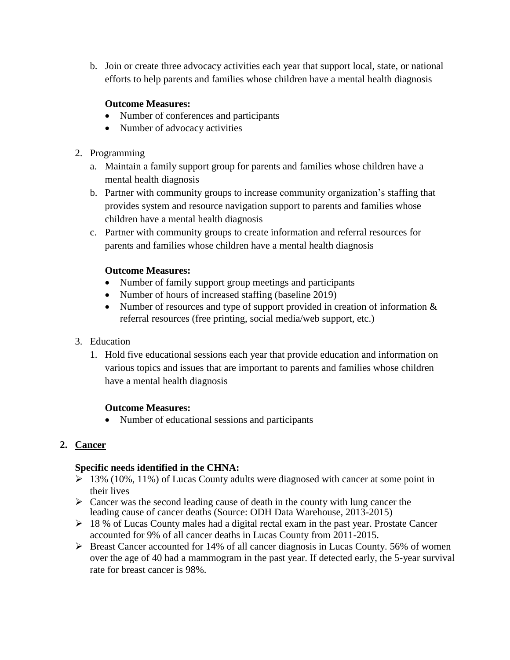b. Join or create three advocacy activities each year that support local, state, or national efforts to help parents and families whose children have a mental health diagnosis

## **Outcome Measures:**

- Number of conferences and participants
- Number of advocacy activities
- 2. Programming
	- a. Maintain a family support group for parents and families whose children have a mental health diagnosis
	- b. Partner with community groups to increase community organization's staffing that provides system and resource navigation support to parents and families whose children have a mental health diagnosis
	- c. Partner with community groups to create information and referral resources for parents and families whose children have a mental health diagnosis

#### **Outcome Measures:**

- Number of family support group meetings and participants
- Number of hours of increased staffing (baseline 2019)
- Number of resources and type of support provided in creation of information  $\&$ referral resources (free printing, social media/web support, etc.)
- 3. Education
	- 1. Hold five educational sessions each year that provide education and information on various topics and issues that are important to parents and families whose children have a mental health diagnosis

#### **Outcome Measures:**

Number of educational sessions and participants

# **2. Cancer**

#### **Specific needs identified in the CHNA:**

- $\geq 13\%$  (10%, 11%) of Lucas County adults were diagnosed with cancer at some point in their lives
- $\triangleright$  Cancer was the second leading cause of death in the county with lung cancer the leading cause of cancer deaths (Source: ODH Data Warehouse, 2013-2015)
- $\geq 18$  % of Lucas County males had a digital rectal exam in the past year. Prostate Cancer accounted for 9% of all cancer deaths in Lucas County from 2011-2015.
- $\triangleright$  Breast Cancer accounted for 14% of all cancer diagnosis in Lucas County. 56% of women over the age of 40 had a mammogram in the past year. If detected early, the 5-year survival rate for breast cancer is 98%.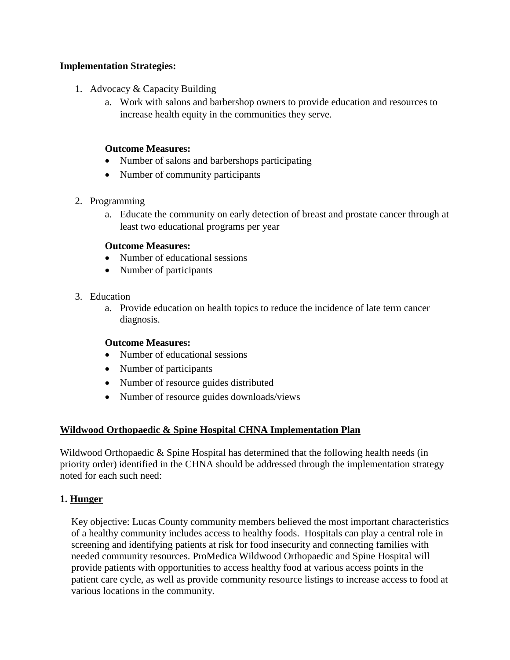#### **Implementation Strategies:**

- 1. Advocacy & Capacity Building
	- a. Work with salons and barbershop owners to provide education and resources to increase health equity in the communities they serve.

#### **Outcome Measures:**

- Number of salons and barbershops participating
- Number of community participants

#### 2. Programming

a. Educate the community on early detection of breast and prostate cancer through at least two educational programs per year

#### **Outcome Measures:**

- Number of educational sessions
- Number of participants
- 3. Education
	- a. Provide education on health topics to reduce the incidence of late term cancer diagnosis.

#### **Outcome Measures:**

- Number of educational sessions
- Number of participants
- Number of resource guides distributed
- Number of resource guides downloads/views

#### **Wildwood Orthopaedic & Spine Hospital CHNA Implementation Plan**

Wildwood Orthopaedic & Spine Hospital has determined that the following health needs (in priority order) identified in the CHNA should be addressed through the implementation strategy noted for each such need:

#### **1. Hunger**

Key objective: Lucas County community members believed the most important characteristics of a healthy community includes access to healthy foods. Hospitals can play a central role in screening and identifying patients at risk for food insecurity and connecting families with needed community resources. ProMedica Wildwood Orthopaedic and Spine Hospital will provide patients with opportunities to access healthy food at various access points in the patient care cycle, as well as provide community resource listings to increase access to food at various locations in the community.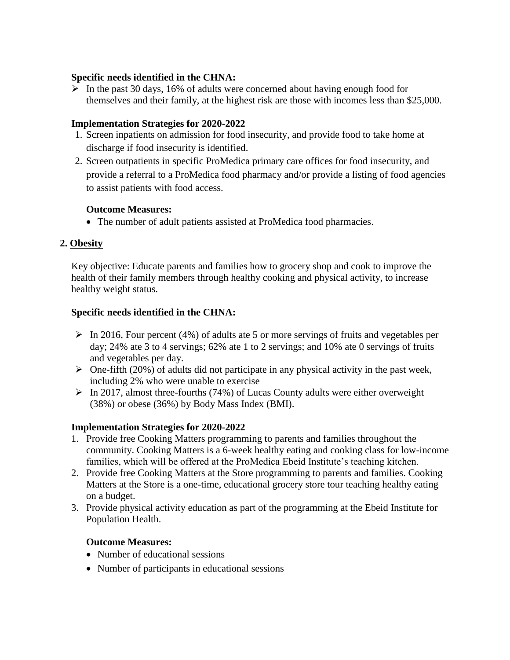#### **Specific needs identified in the CHNA:**

 $\triangleright$  In the past 30 days, 16% of adults were concerned about having enough food for themselves and their family, at the highest risk are those with incomes less than \$25,000.

#### **Implementation Strategies for 2020-2022**

- 1. Screen inpatients on admission for food insecurity, and provide food to take home at discharge if food insecurity is identified.
- 2. Screen outpatients in specific ProMedica primary care offices for food insecurity, and provide a referral to a ProMedica food pharmacy and/or provide a listing of food agencies to assist patients with food access.

#### **Outcome Measures:**

The number of adult patients assisted at ProMedica food pharmacies.

#### **2. Obesity**

Key objective: Educate parents and families how to grocery shop and cook to improve the health of their family members through healthy cooking and physical activity, to increase healthy weight status.

#### **Specific needs identified in the CHNA:**

- $\triangleright$  In 2016, Four percent (4%) of adults ate 5 or more servings of fruits and vegetables per day; 24% ate 3 to 4 servings; 62% ate 1 to 2 servings; and 10% ate 0 servings of fruits and vegetables per day.
- $\triangleright$  One-fifth (20%) of adults did not participate in any physical activity in the past week, including 2% who were unable to exercise
- $\triangleright$  In 2017, almost three-fourths (74%) of Lucas County adults were either overweight (38%) or obese (36%) by Body Mass Index (BMI).

#### **Implementation Strategies for 2020-2022**

- 1. Provide free Cooking Matters programming to parents and families throughout the community. Cooking Matters is a 6-week healthy eating and cooking class for low-income families, which will be offered at the ProMedica Ebeid Institute's teaching kitchen.
- 2. Provide free Cooking Matters at the Store programming to parents and families. Cooking Matters at the Store is a one-time, educational grocery store tour teaching healthy eating on a budget.
- 3. Provide physical activity education as part of the programming at the Ebeid Institute for Population Health.

#### **Outcome Measures:**

- Number of educational sessions
- Number of participants in educational sessions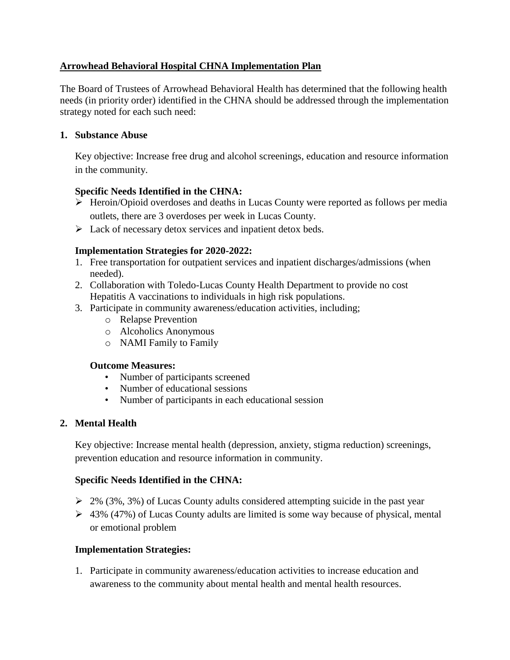## **Arrowhead Behavioral Hospital CHNA Implementation Plan**

The Board of Trustees of Arrowhead Behavioral Health has determined that the following health needs (in priority order) identified in the CHNA should be addressed through the implementation strategy noted for each such need:

#### **1. Substance Abuse**

Key objective: Increase free drug and alcohol screenings, education and resource information in the community.

#### **Specific Needs Identified in the CHNA:**

- $\triangleright$  Heroin/Opioid overdoses and deaths in Lucas County were reported as follows per media outlets, there are 3 overdoses per week in Lucas County.
- Example 1 Lack of necessary detox services and inpatient detox beds.

#### **Implementation Strategies for 2020-2022:**

- 1. Free transportation for outpatient services and inpatient discharges/admissions (when needed).
- 2. Collaboration with Toledo-Lucas County Health Department to provide no cost Hepatitis A vaccinations to individuals in high risk populations.
- 3. Participate in community awareness/education activities, including;
	- o Relapse Prevention
	- o Alcoholics Anonymous
	- o NAMI Family to Family

#### **Outcome Measures:**

- Number of participants screened
- Number of educational sessions
- Number of participants in each educational session

#### **2. Mental Health**

Key objective: Increase mental health (depression, anxiety, stigma reduction) screenings, prevention education and resource information in community.

#### **Specific Needs Identified in the CHNA:**

- $\geq$  2% (3%, 3%) of Lucas County adults considered attempting suicide in the past year
- $\geq 43\%$  (47%) of Lucas County adults are limited is some way because of physical, mental or emotional problem

#### **Implementation Strategies:**

1. Participate in community awareness/education activities to increase education and awareness to the community about mental health and mental health resources.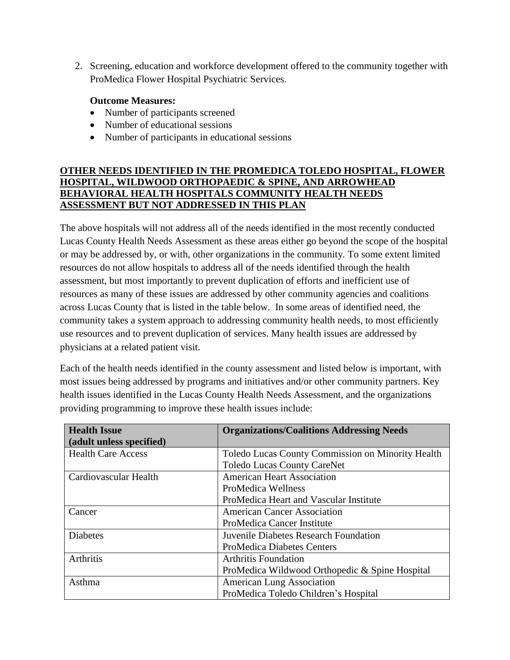2. Screening, education and workforce development offered to the community together with ProMedica Flower Hospital Psychiatric Services.

#### **Outcome Measures:**

- Number of participants screened
- Number of educational sessions
- Number of participants in educational sessions

## **OTHER NEEDS IDENTIFIED IN THE PROMEDICA TOLEDO HOSPITAL, FLOWER HOSPITAL, WILDWOOD ORTHOPAEDIC & SPINE, AND ARROWHEAD BEHAVIORAL HEALTH HOSPITALS COMMUNITY HEALTH NEEDS ASSESSMENT BUT NOT ADDRESSED IN THIS PLAN**

The above hospitals will not address all of the needs identified in the most recently conducted Lucas County Health Needs Assessment as these areas either go beyond the scope of the hospital or may be addressed by, or with, other organizations in the community. To some extent limited resources do not allow hospitals to address all of the needs identified through the health assessment, but most importantly to prevent duplication of efforts and inefficient use of resources as many of these issues are addressed by other community agencies and coalitions across Lucas County that is listed in the table below. In some areas of identified need, the community takes a system approach to addressing community health needs, to most efficiently use resources and to prevent duplication of services. Many health issues are addressed by physicians at a related patient visit.

Each of the health needs identified in the county assessment and listed below is important, with most issues being addressed by programs and initiatives and/or other community partners. Key health issues identified in the Lucas County Health Needs Assessment, and the organizations providing programming to improve these health issues include:

| <b>Health Issue</b>       | <b>Organizations/Coalitions Addressing Needs</b>  |
|---------------------------|---------------------------------------------------|
| (adult unless specified)  |                                                   |
| <b>Health Care Access</b> | Toledo Lucas County Commission on Minority Health |
|                           | <b>Toledo Lucas County CareNet</b>                |
| Cardiovascular Health     | <b>American Heart Association</b>                 |
|                           | ProMedica Wellness                                |
|                           | ProMedica Heart and Vascular Institute            |
| Cancer                    | <b>American Cancer Association</b>                |
|                           | ProMedica Cancer Institute                        |
| <b>Diabetes</b>           | Juvenile Diabetes Research Foundation             |
|                           | <b>ProMedica Diabetes Centers</b>                 |
| <b>Arthritis</b>          | <b>Arthritis Foundation</b>                       |
|                           | ProMedica Wildwood Orthopedic & Spine Hospital    |
| Asthma                    | <b>American Lung Association</b>                  |
|                           | ProMedica Toledo Children's Hospital              |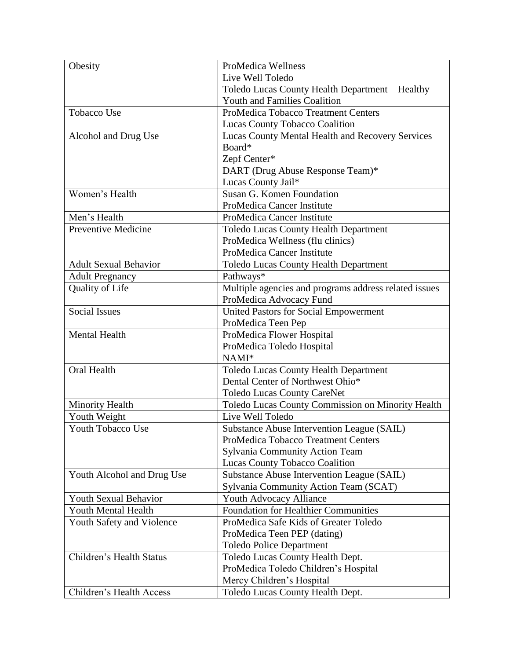| Obesity                      | ProMedica Wellness                                    |
|------------------------------|-------------------------------------------------------|
|                              | Live Well Toledo                                      |
|                              | Toledo Lucas County Health Department - Healthy       |
|                              | <b>Youth and Families Coalition</b>                   |
| <b>Tobacco Use</b>           | ProMedica Tobacco Treatment Centers                   |
|                              | Lucas County Tobacco Coalition                        |
| Alcohol and Drug Use         | Lucas County Mental Health and Recovery Services      |
|                              | Board*                                                |
|                              | Zepf Center*                                          |
|                              | DART (Drug Abuse Response Team)*                      |
|                              | Lucas County Jail*                                    |
| Women's Health               | Susan G. Komen Foundation                             |
|                              | ProMedica Cancer Institute                            |
| Men's Health                 | ProMedica Cancer Institute                            |
| <b>Preventive Medicine</b>   | Toledo Lucas County Health Department                 |
|                              | ProMedica Wellness (flu clinics)                      |
|                              | ProMedica Cancer Institute                            |
| <b>Adult Sexual Behavior</b> | <b>Toledo Lucas County Health Department</b>          |
| <b>Adult Pregnancy</b>       | Pathways*                                             |
| Quality of Life              | Multiple agencies and programs address related issues |
|                              | ProMedica Advocacy Fund                               |
| <b>Social Issues</b>         | <b>United Pastors for Social Empowerment</b>          |
|                              | ProMedica Teen Pep                                    |
| <b>Mental Health</b>         | ProMedica Flower Hospital                             |
|                              | ProMedica Toledo Hospital                             |
|                              | NAMI*                                                 |
| Oral Health                  | <b>Toledo Lucas County Health Department</b>          |
|                              |                                                       |
|                              | Dental Center of Northwest Ohio*                      |
|                              | <b>Toledo Lucas County CareNet</b>                    |
| <b>Minority Health</b>       | Toledo Lucas County Commission on Minority Health     |
| Youth Weight                 | Live Well Toledo                                      |
| Youth Tobacco Use            | Substance Abuse Intervention League (SAIL)            |
|                              | ProMedica Tobacco Treatment Centers                   |
|                              | <b>Sylvania Community Action Team</b>                 |
|                              | Lucas County Tobacco Coalition                        |
| Youth Alcohol and Drug Use   | Substance Abuse Intervention League (SAIL)            |
|                              | Sylvania Community Action Team (SCAT)                 |
| <b>Youth Sexual Behavior</b> | Youth Advocacy Alliance                               |
| Youth Mental Health          | <b>Foundation for Healthier Communities</b>           |
| Youth Safety and Violence    | ProMedica Safe Kids of Greater Toledo                 |
|                              | ProMedica Teen PEP (dating)                           |
|                              | <b>Toledo Police Department</b>                       |
| Children's Health Status     | Toledo Lucas County Health Dept.                      |
|                              | ProMedica Toledo Children's Hospital                  |
| Children's Health Access     | Mercy Children's Hospital                             |